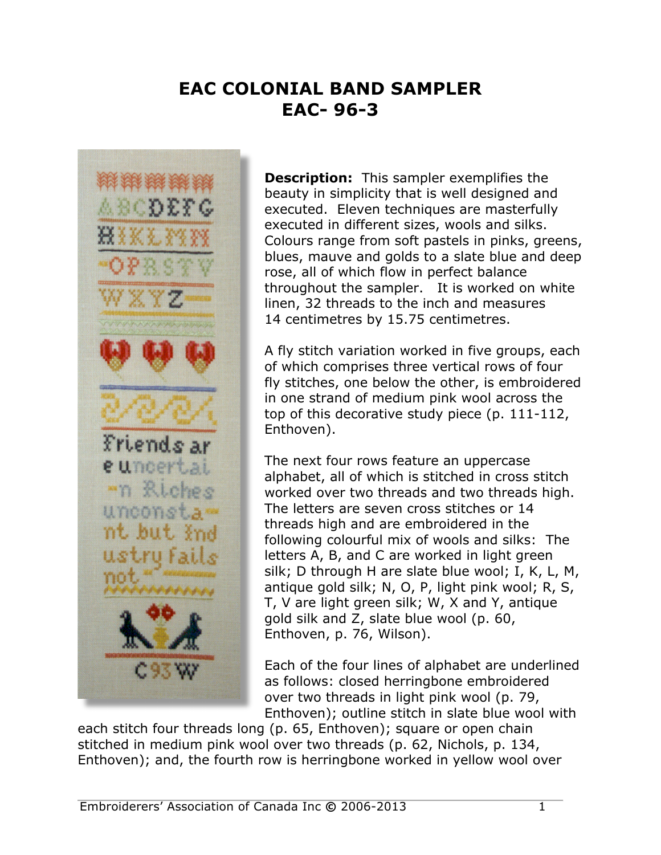## **EAC COLONIAL BAND SAMPLER EAC- 96-3**



**Description:** This sampler exemplifies the beauty in simplicity that is well designed and executed. Eleven techniques are masterfully executed in different sizes, wools and silks. Colours range from soft pastels in pinks, greens, blues, mauve and golds to a slate blue and deep rose, all of which flow in perfect balance throughout the sampler. It is worked on white linen, 32 threads to the inch and measures 14 centimetres by 15.75 centimetres.

A fly stitch variation worked in five groups, each of which comprises three vertical rows of four fly stitches, one below the other, is embroidered in one strand of medium pink wool across the top of this decorative study piece (p. 111-112, Enthoven).

The next four rows feature an uppercase alphabet, all of which is stitched in cross stitch worked over two threads and two threads high. The letters are seven cross stitches or 14 threads high and are embroidered in the following colourful mix of wools and silks: The letters A, B, and C are worked in light green silk; D through H are slate blue wool; I, K, L, M, antique gold silk; N, O, P, light pink wool; R, S, T, V are light green silk; W, X and Y, antique gold silk and Z, slate blue wool (p. 60, Enthoven, p. 76, Wilson).

Each of the four lines of alphabet are underlined as follows: closed herringbone embroidered over two threads in light pink wool (p. 79, Enthoven); outline stitch in slate blue wool with

each stitch four threads long (p. 65, Enthoven); square or open chain stitched in medium pink wool over two threads (p. 62, Nichols, p. 134, Enthoven); and, the fourth row is herringbone worked in yellow wool over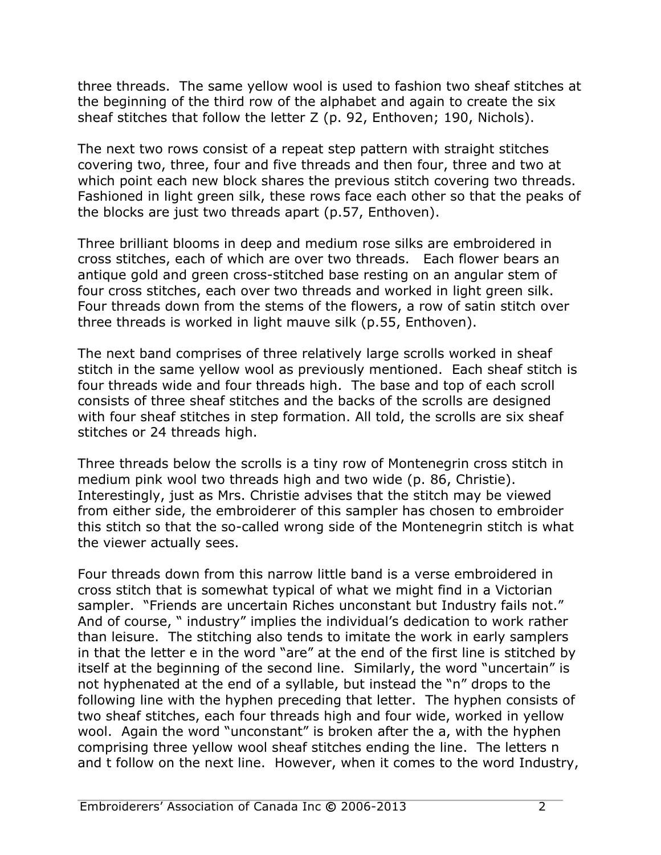three threads. The same yellow wool is used to fashion two sheaf stitches at the beginning of the third row of the alphabet and again to create the six sheaf stitches that follow the letter Z (p. 92, Enthoven; 190, Nichols).

The next two rows consist of a repeat step pattern with straight stitches covering two, three, four and five threads and then four, three and two at which point each new block shares the previous stitch covering two threads. Fashioned in light green silk, these rows face each other so that the peaks of the blocks are just two threads apart (p.57, Enthoven).

Three brilliant blooms in deep and medium rose silks are embroidered in cross stitches, each of which are over two threads. Each flower bears an antique gold and green cross-stitched base resting on an angular stem of four cross stitches, each over two threads and worked in light green silk. Four threads down from the stems of the flowers, a row of satin stitch over three threads is worked in light mauve silk (p.55, Enthoven).

The next band comprises of three relatively large scrolls worked in sheaf stitch in the same yellow wool as previously mentioned. Each sheaf stitch is four threads wide and four threads high. The base and top of each scroll consists of three sheaf stitches and the backs of the scrolls are designed with four sheaf stitches in step formation. All told, the scrolls are six sheaf stitches or 24 threads high.

Three threads below the scrolls is a tiny row of Montenegrin cross stitch in medium pink wool two threads high and two wide (p. 86, Christie). Interestingly, just as Mrs. Christie advises that the stitch may be viewed from either side, the embroiderer of this sampler has chosen to embroider this stitch so that the so-called wrong side of the Montenegrin stitch is what the viewer actually sees.

Four threads down from this narrow little band is a verse embroidered in cross stitch that is somewhat typical of what we might find in a Victorian sampler. "Friends are uncertain Riches unconstant but Industry fails not." And of course, " industry" implies the individual's dedication to work rather than leisure. The stitching also tends to imitate the work in early samplers in that the letter e in the word "are" at the end of the first line is stitched by itself at the beginning of the second line. Similarly, the word "uncertain" is not hyphenated at the end of a syllable, but instead the "n" drops to the following line with the hyphen preceding that letter. The hyphen consists of two sheaf stitches, each four threads high and four wide, worked in yellow wool. Again the word "unconstant" is broken after the a, with the hyphen comprising three yellow wool sheaf stitches ending the line. The letters n and t follow on the next line. However, when it comes to the word Industry,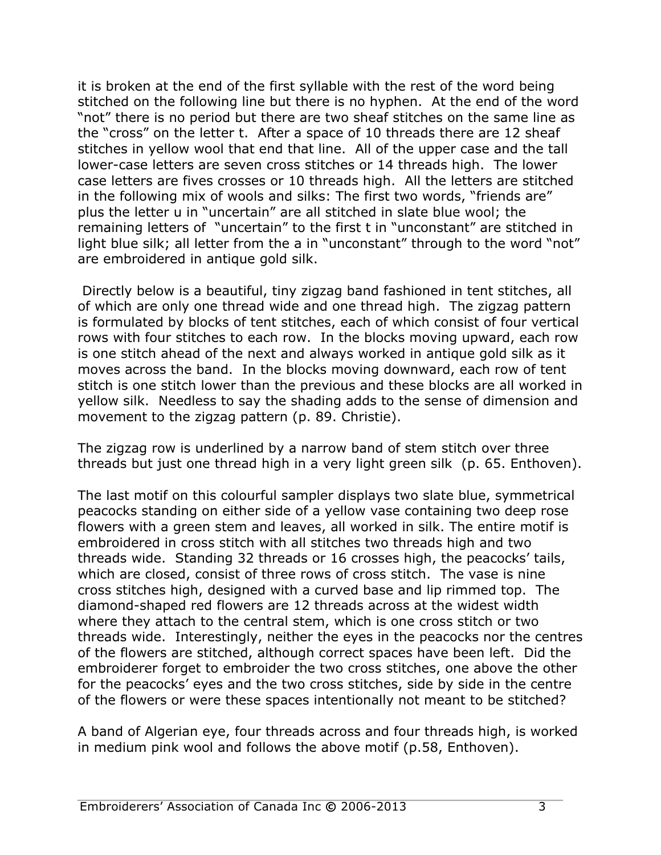it is broken at the end of the first syllable with the rest of the word being stitched on the following line but there is no hyphen. At the end of the word "not" there is no period but there are two sheaf stitches on the same line as the "cross" on the letter t. After a space of 10 threads there are 12 sheaf stitches in yellow wool that end that line. All of the upper case and the tall lower-case letters are seven cross stitches or 14 threads high. The lower case letters are fives crosses or 10 threads high. All the letters are stitched in the following mix of wools and silks: The first two words, "friends are" plus the letter u in "uncertain" are all stitched in slate blue wool; the remaining letters of "uncertain" to the first t in "unconstant" are stitched in light blue silk; all letter from the a in "unconstant" through to the word "not" are embroidered in antique gold silk.

Directly below is a beautiful, tiny zigzag band fashioned in tent stitches, all of which are only one thread wide and one thread high. The zigzag pattern is formulated by blocks of tent stitches, each of which consist of four vertical rows with four stitches to each row. In the blocks moving upward, each row is one stitch ahead of the next and always worked in antique gold silk as it moves across the band. In the blocks moving downward, each row of tent stitch is one stitch lower than the previous and these blocks are all worked in yellow silk. Needless to say the shading adds to the sense of dimension and movement to the zigzag pattern (p. 89. Christie).

The zigzag row is underlined by a narrow band of stem stitch over three threads but just one thread high in a very light green silk (p. 65. Enthoven).

The last motif on this colourful sampler displays two slate blue, symmetrical peacocks standing on either side of a yellow vase containing two deep rose flowers with a green stem and leaves, all worked in silk. The entire motif is embroidered in cross stitch with all stitches two threads high and two threads wide. Standing 32 threads or 16 crosses high, the peacocks' tails, which are closed, consist of three rows of cross stitch. The vase is nine cross stitches high, designed with a curved base and lip rimmed top. The diamond-shaped red flowers are 12 threads across at the widest width where they attach to the central stem, which is one cross stitch or two threads wide. Interestingly, neither the eyes in the peacocks nor the centres of the flowers are stitched, although correct spaces have been left. Did the embroiderer forget to embroider the two cross stitches, one above the other for the peacocks' eyes and the two cross stitches, side by side in the centre of the flowers or were these spaces intentionally not meant to be stitched?

A band of Algerian eye, four threads across and four threads high, is worked in medium pink wool and follows the above motif (p.58, Enthoven).